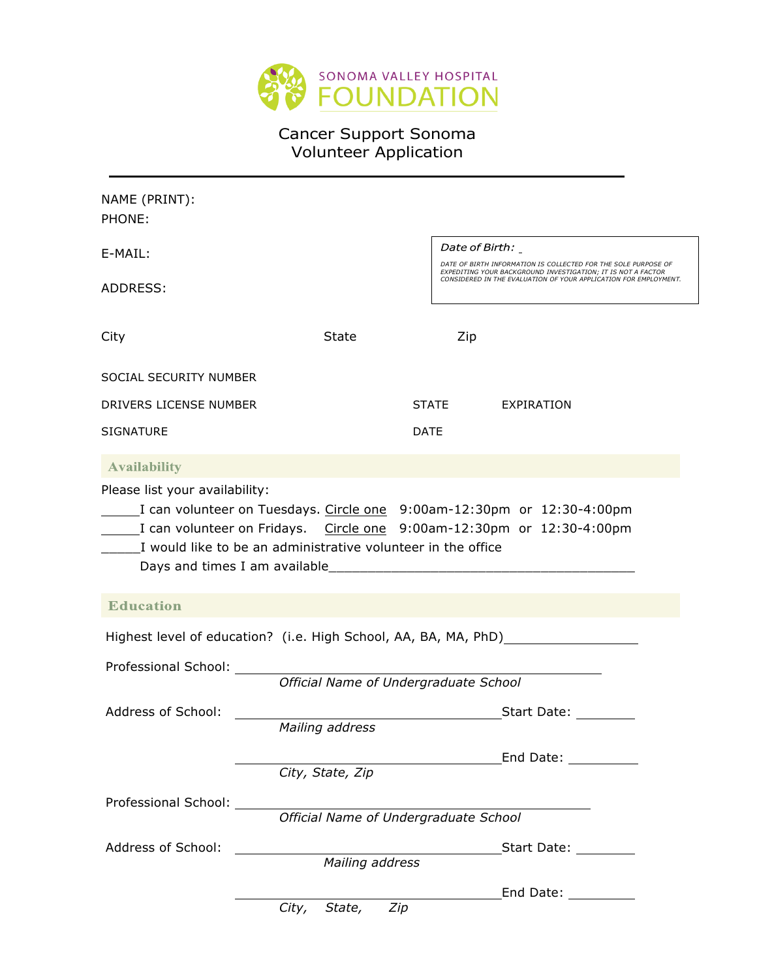

# Cancer Support Sonoma Volunteer Application

| NAME (PRINT):                  |                                                                        |             |                                                                                                                                                                                                    |  |
|--------------------------------|------------------------------------------------------------------------|-------------|----------------------------------------------------------------------------------------------------------------------------------------------------------------------------------------------------|--|
| PHONE:                         |                                                                        |             |                                                                                                                                                                                                    |  |
| E-MAIL:                        |                                                                        |             | Date of Birth: _                                                                                                                                                                                   |  |
|                                |                                                                        |             | DATE OF BIRTH INFORMATION IS COLLECTED FOR THE SOLE PURPOSE OF<br>EXPEDITING YOUR BACKGROUND INVESTIGATION; IT IS NOT A FACTOR<br>CONSIDERED IN THE EVALUATION OF YOUR APPLICATION FOR EMPLOYMENT. |  |
| ADDRESS:                       |                                                                        |             |                                                                                                                                                                                                    |  |
|                                |                                                                        |             |                                                                                                                                                                                                    |  |
| City                           | State                                                                  | Zip         |                                                                                                                                                                                                    |  |
|                                |                                                                        |             |                                                                                                                                                                                                    |  |
| SOCIAL SECURITY NUMBER         |                                                                        |             |                                                                                                                                                                                                    |  |
| DRIVERS LICENSE NUMBER         |                                                                        | STATE       | EXPIRATION                                                                                                                                                                                         |  |
| <b>SIGNATURE</b>               |                                                                        | <b>DATE</b> |                                                                                                                                                                                                    |  |
| <b>Availability</b>            |                                                                        |             |                                                                                                                                                                                                    |  |
|                                |                                                                        |             |                                                                                                                                                                                                    |  |
| Please list your availability: |                                                                        |             |                                                                                                                                                                                                    |  |
|                                | I can volunteer on Tuesdays. Circle one 9:00am-12:30pm or 12:30-4:00pm |             |                                                                                                                                                                                                    |  |
|                                |                                                                        |             |                                                                                                                                                                                                    |  |
|                                | I would like to be an administrative volunteer in the office           |             |                                                                                                                                                                                                    |  |
|                                | Days and times I am available______                                    |             |                                                                                                                                                                                                    |  |
| <b>Education</b>               |                                                                        |             |                                                                                                                                                                                                    |  |
|                                |                                                                        |             |                                                                                                                                                                                                    |  |
|                                | Highest level of education? (i.e. High School, AA, BA, MA, PhD)        |             |                                                                                                                                                                                                    |  |
| Professional School:           |                                                                        |             |                                                                                                                                                                                                    |  |
|                                | Official Name of Undergraduate School                                  |             |                                                                                                                                                                                                    |  |
| Address of School:             |                                                                        |             | Start Date:                                                                                                                                                                                        |  |
|                                | Mailing address                                                        |             |                                                                                                                                                                                                    |  |
|                                |                                                                        |             | End Date: The Sand Date:                                                                                                                                                                           |  |
|                                | City, State, Zip                                                       |             |                                                                                                                                                                                                    |  |
| Professional School: _______   |                                                                        |             |                                                                                                                                                                                                    |  |
|                                | Official Name of Undergraduate School                                  |             |                                                                                                                                                                                                    |  |
| Address of School:             | <u> 1980 - Antonio Alemania, politikar politikar (h. 1980)</u>         |             | Start Date:                                                                                                                                                                                        |  |
|                                | Mailing address                                                        |             |                                                                                                                                                                                                    |  |
|                                |                                                                        |             | End Date: __________                                                                                                                                                                               |  |
|                                | Zip<br>City,<br>State,                                                 |             |                                                                                                                                                                                                    |  |
|                                |                                                                        |             |                                                                                                                                                                                                    |  |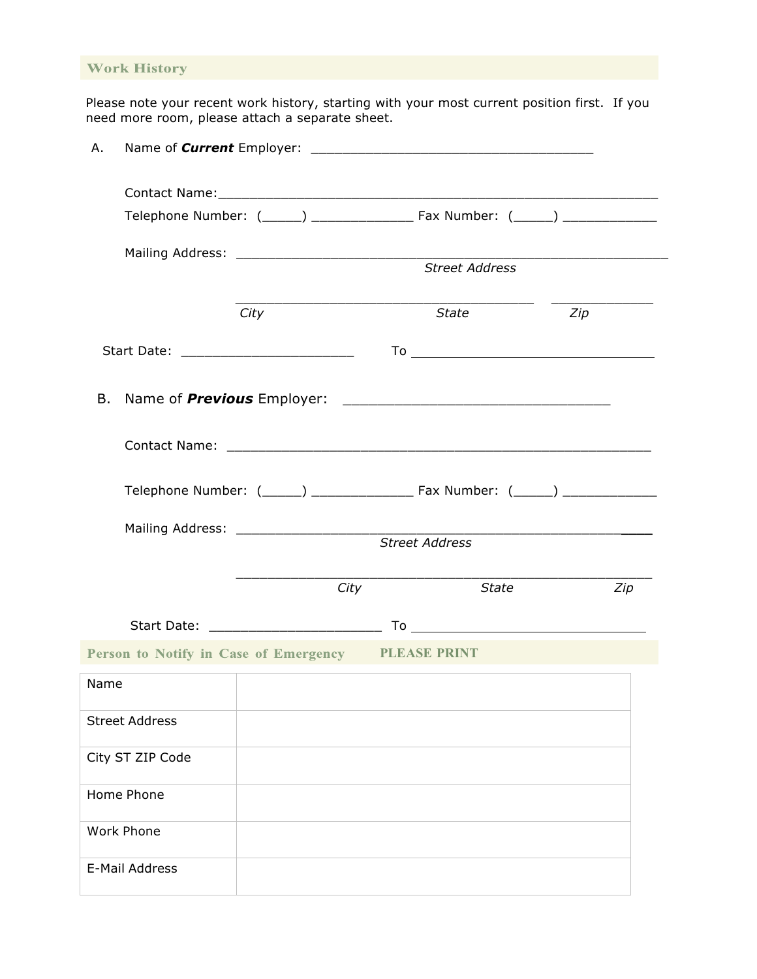### **Work History**

Please note your recent work history, starting with your most current position first. If you need more room, please attach a separate sheet.

| Α.   |                       |                       |                                                           |     |  |  |  |
|------|-----------------------|-----------------------|-----------------------------------------------------------|-----|--|--|--|
|      |                       |                       |                                                           |     |  |  |  |
|      |                       |                       |                                                           |     |  |  |  |
|      |                       |                       | Street Address                                            |     |  |  |  |
|      |                       |                       |                                                           |     |  |  |  |
|      |                       | City                  | State                                                     | Zip |  |  |  |
|      |                       |                       |                                                           |     |  |  |  |
|      |                       |                       |                                                           |     |  |  |  |
|      |                       |                       |                                                           |     |  |  |  |
|      |                       |                       |                                                           |     |  |  |  |
|      |                       | <b>Street Address</b> |                                                           |     |  |  |  |
|      |                       |                       |                                                           |     |  |  |  |
|      |                       |                       | State<br>City                                             | Zip |  |  |  |
|      |                       |                       |                                                           |     |  |  |  |
|      |                       |                       | <b>Person to Notify in Case of Emergency PLEASE PRINT</b> |     |  |  |  |
| Name |                       |                       |                                                           |     |  |  |  |
|      | <b>Street Address</b> |                       |                                                           |     |  |  |  |
|      | City ST ZIP Code      |                       |                                                           |     |  |  |  |
|      | Home Phone            |                       |                                                           |     |  |  |  |
|      | <b>Work Phone</b>     |                       |                                                           |     |  |  |  |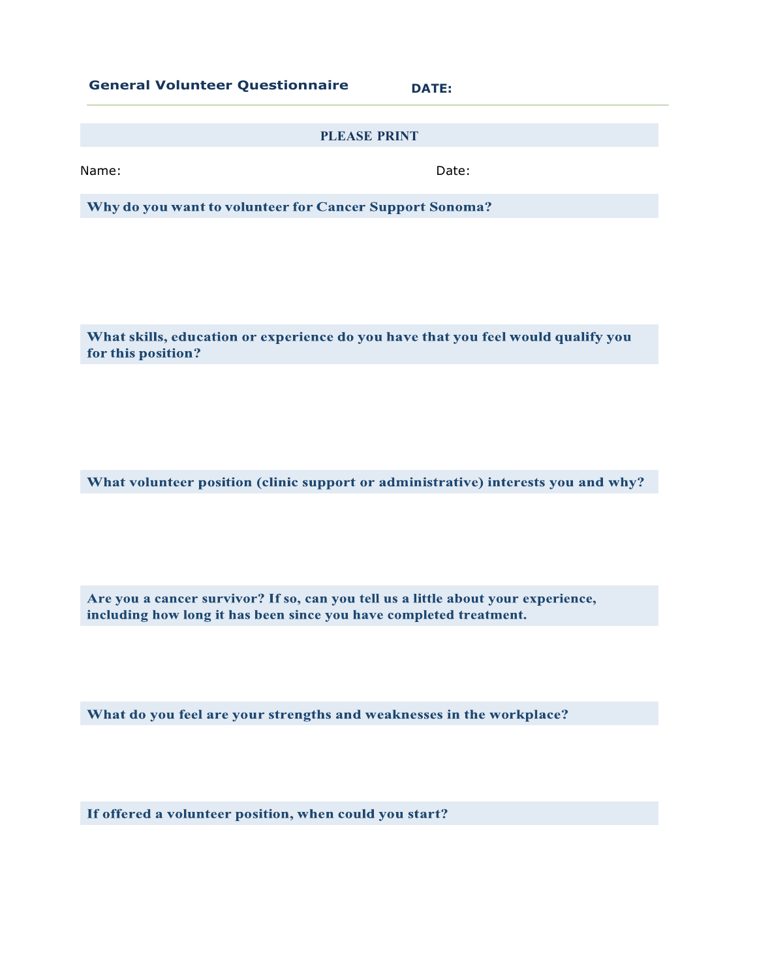**General Volunteer Questionnaire DATE:**

### **PLEASE PRINT**

Name: **Name:** Date: **Name:** 2008. **Date:** 2008. **Date:** 2008. **Date:** 2008. **Date:** 2008. 2008. 2014. 2015. 2016. 2016. 2016. 2017. 2018. 2016. 2017. 2018. 2017. 2018. 2017. 2018. 2017. 2018. 2017. 2018. 2017. 2018. 2017.

Why do you want to volunteer for Cancer Support Sonoma?

What skills, education or experience do you have that you feel would qualify you for this position?

What volunteer position (clinic support or administrative) interests you and why?

Are you a cancer survivor? If so, can you tell us a little about your experience, including how long it has been since you have completed treatment.

What do you feel are your strengths and weaknesses in the workplace?

If offered a volunteer position, when could you start?